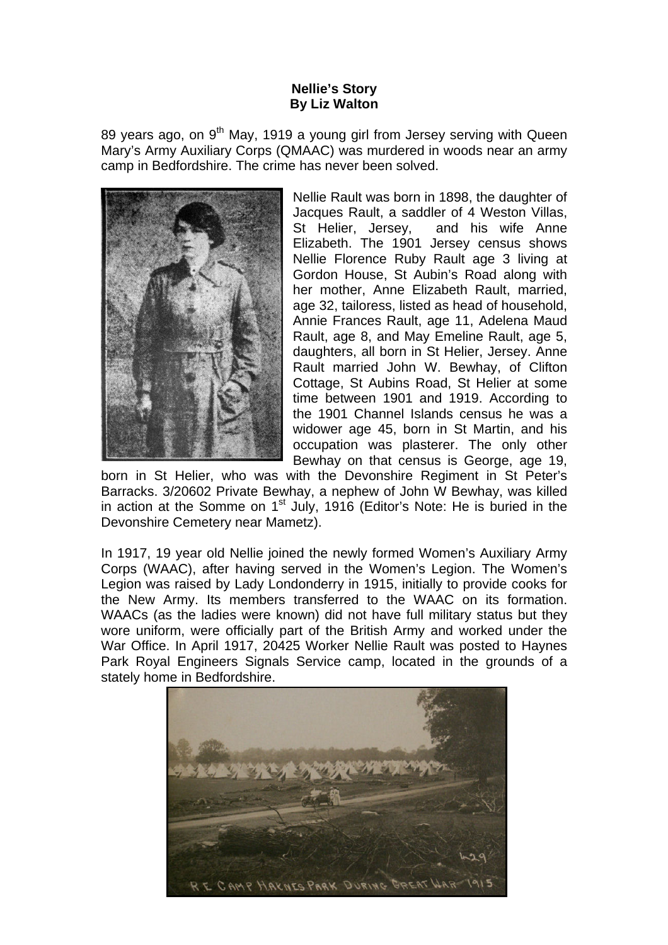## **Nellie's Story By Liz Walton**

89 years ago, on 9<sup>th</sup> May, 1919 a young girl from Jersey serving with Queen Mary's Army Auxiliary Corps (QMAAC) was murdered in woods near an army camp in Bedfordshire. The crime has never been solved.



Nellie Rault was born in 1898, the daughter of Jacques Rault, a saddler of 4 Weston Villas, St Helier, Jersey, and his wife Anne Elizabeth. The 1901 Jersey census shows Nellie Florence Ruby Rault age 3 living at Gordon House, St Aubin's Road along with her mother, Anne Elizabeth Rault, married, age 32, tailoress, listed as head of household, Annie Frances Rault, age 11, Adelena Maud Rault, age 8, and May Emeline Rault, age 5, daughters, all born in St Helier, Jersey. Anne Rault married John W. Bewhay, of Clifton Cottage, St Aubins Road, St Helier at some time between 1901 and 1919. According to the 1901 Channel Islands census he was a widower age 45, born in St Martin, and his occupation was plasterer. The only other Bewhay on that census is George, age 19,

born in St Helier, who was with the Devonshire Regiment in St Peter's Barracks. 3/20602 Private Bewhay, a nephew of John W Bewhay, was killed in action at the Somme on  $1<sup>st</sup>$  July, 1916 (Editor's Note: He is buried in the Devonshire Cemetery near Mametz).

In 1917, 19 year old Nellie joined the newly formed Women's Auxiliary Army Corps (WAAC), after having served in the Women's Legion. The Women's Legion was raised by Lady Londonderry in 1915, initially to provide cooks for the New Army. Its members transferred to the WAAC on its formation. WAACs (as the ladies were known) did not have full military status but they wore uniform, were officially part of the British Army and worked under the War Office. In April 1917, 20425 Worker Nellie Rault was posted to Haynes Park Royal Engineers Signals Service camp, located in the grounds of a stately home in Bedfordshire.

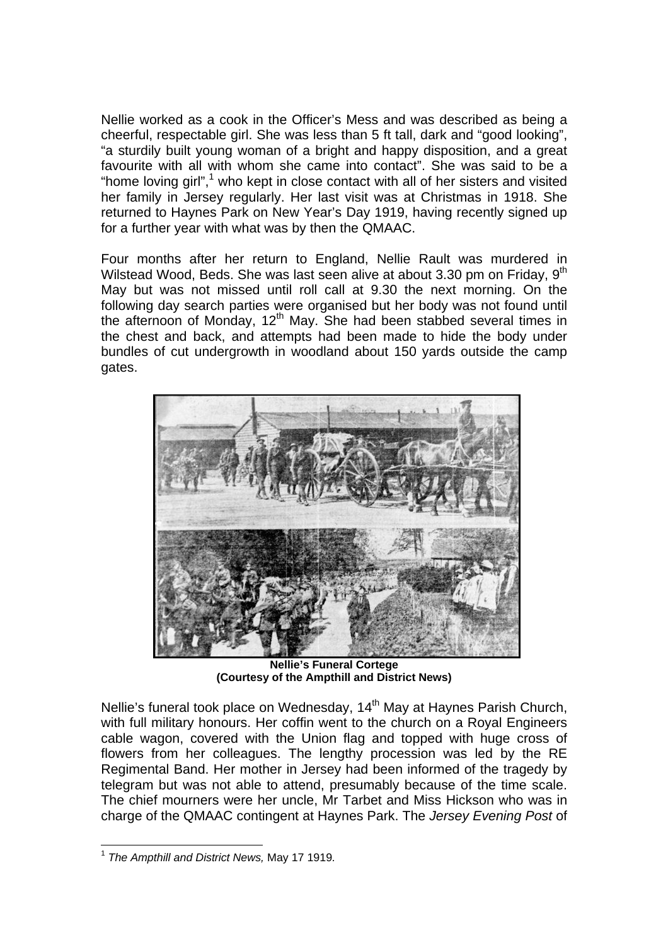Nellie worked as a cook in the Officer's Mess and was described as being a cheerful, respectable girl. She was less than 5 ft tall, dark and "good looking", "a sturdily built young woman of a bright and happy disposition, and a great favourite with all with whom she came into contact". She was said to be a "home loving girl",<sup>1</sup> who kept in close contact with all of her sisters and visited her family in Jersey regularly. Her last visit was at Christmas in 1918. She returned to Haynes Park on New Year's Day 1919, having recently signed up for a further year with what was by then the QMAAC.

Four months after her return to England, Nellie Rault was murdered in Wilstead Wood, Beds. She was last seen alive at about 3.30 pm on Fridav. 9<sup>th</sup> May but was not missed until roll call at 9.30 the next morning. On the following day search parties were organised but her body was not found until the afternoon of Monday, 12<sup>th</sup> May. She had been stabbed several times in the chest and back, and attempts had been made to hide the body under bundles of cut undergrowth in woodland about 150 yards outside the camp gates.



**Nellie's Funeral Cortege (Courtesy of the Ampthill and District News)** 

Nellie's funeral took place on Wednesday, 14<sup>th</sup> May at Haynes Parish Church, with full military honours. Her coffin went to the church on a Royal Engineers cable wagon, covered with the Union flag and topped with huge cross of flowers from her colleagues. The lengthy procession was led by the RE Regimental Band. Her mother in Jersey had been informed of the tragedy by telegram but was not able to attend, presumably because of the time scale. The chief mourners were her uncle, Mr Tarbet and Miss Hickson who was in charge of the QMAAC contingent at Haynes Park. The *Jersey Evening Post* of

 1  *The Ampthill and District News,* May 17 1919*.*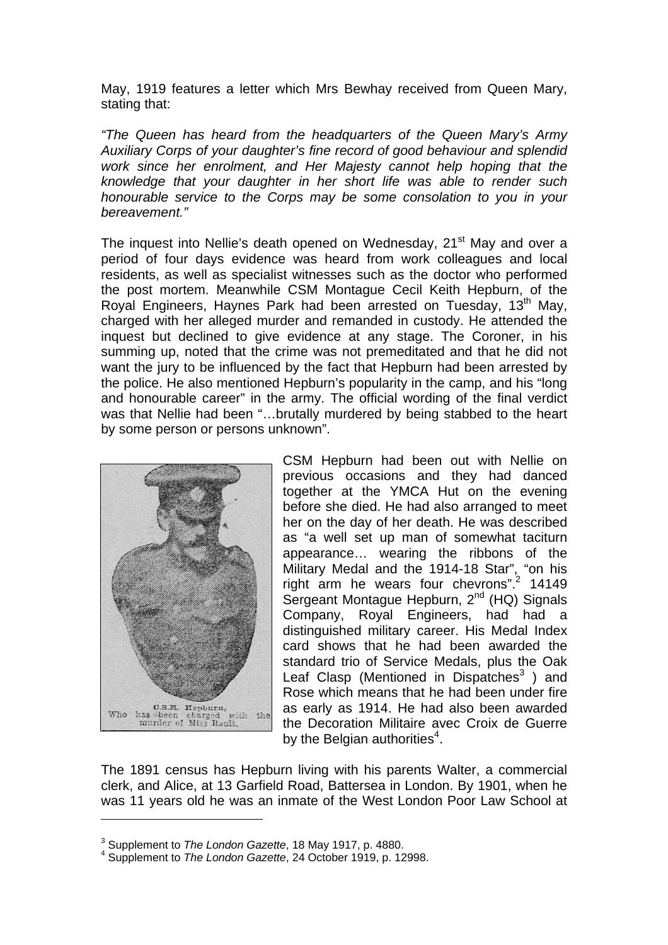May, 1919 features a letter which Mrs Bewhay received from Queen Mary, stating that:

*"The Queen has heard from the headquarters of the Queen Mary's Army Auxiliary Corps of your daughter's fine record of good behaviour and splendid work since her enrolment, and Her Majesty cannot help hoping that the knowledge that your daughter in her short life was able to render such honourable service to the Corps may be some consolation to you in your bereavement."* 

The inquest into Nellie's death opened on Wednesday, 21<sup>st</sup> May and over a period of four days evidence was heard from work colleagues and local residents, as well as specialist witnesses such as the doctor who performed the post mortem. Meanwhile CSM Montague Cecil Keith Hepburn, of the Royal Engineers, Haynes Park had been arrested on Tuesday, 13<sup>th</sup> May, charged with her alleged murder and remanded in custody. He attended the inquest but declined to give evidence at any stage. The Coroner, in his summing up, noted that the crime was not premeditated and that he did not want the jury to be influenced by the fact that Hepburn had been arrested by the police. He also mentioned Hepburn's popularity in the camp, and his "long and honourable career" in the army. The official wording of the final verdict was that Nellie had been "…brutally murdered by being stabbed to the heart by some person or persons unknown".



 $\overline{a}$ 

CSM Hepburn had been out with Nellie on previous occasions and they had danced together at the YMCA Hut on the evening before she died. He had also arranged to meet her on the day of her death. He was described as "a well set up man of somewhat taciturn appearance… wearing the ribbons of the Military Medal and the 1914-18 Star", "on his right arm he wears four chevrons".<sup>2</sup> 14149 Sergeant Montague Hepburn, 2<sup>nd</sup> (HQ) Signals Company, Royal Engineers, had had a distinguished military career. His Medal Index card shows that he had been awarded the standard trio of Service Medals, plus the Oak Leaf Clasp (Mentioned in Dispatches<sup>3</sup>) and Rose which means that he had been under fire as early as 1914. He had also been awarded the Decoration Militaire avec Croix de Guerre by the Belgian authorities<sup>4</sup>.

The 1891 census has Hepburn living with his parents Walter, a commercial clerk, and Alice, at 13 Garfield Road, Battersea in London. By 1901, when he was 11 years old he was an inmate of the West London Poor Law School at

<sup>&</sup>lt;sup>3</sup> Supplement to *The London Gazette*, 18 May 1917, p. 4880.<br><sup>4</sup> Supplement to *The London Cazette*, 24 October 1919, p. 42

Supplement to *The London Gazette*, 24 October 1919, p. 12998.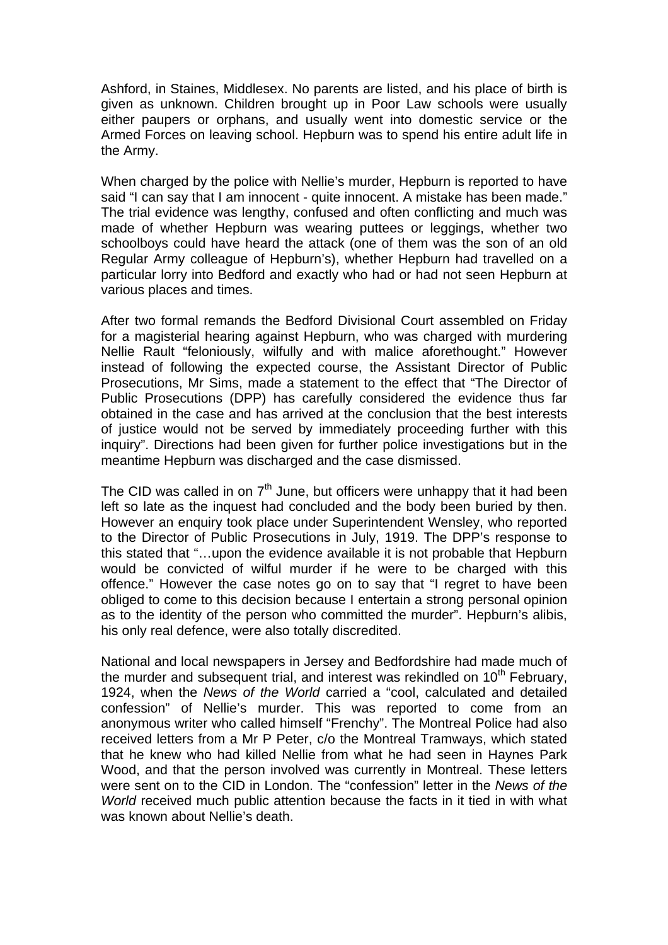Ashford, in Staines, Middlesex. No parents are listed, and his place of birth is given as unknown. Children brought up in Poor Law schools were usually either paupers or orphans, and usually went into domestic service or the Armed Forces on leaving school. Hepburn was to spend his entire adult life in the Army.

When charged by the police with Nellie's murder. Hepburn is reported to have said "I can say that I am innocent - quite innocent. A mistake has been made." The trial evidence was lengthy, confused and often conflicting and much was made of whether Hepburn was wearing puttees or leggings, whether two schoolboys could have heard the attack (one of them was the son of an old Regular Army colleague of Hepburn's), whether Hepburn had travelled on a particular lorry into Bedford and exactly who had or had not seen Hepburn at various places and times.

After two formal remands the Bedford Divisional Court assembled on Friday for a magisterial hearing against Hepburn, who was charged with murdering Nellie Rault "feloniously, wilfully and with malice aforethought." However instead of following the expected course, the Assistant Director of Public Prosecutions, Mr Sims, made a statement to the effect that "The Director of Public Prosecutions (DPP) has carefully considered the evidence thus far obtained in the case and has arrived at the conclusion that the best interests of justice would not be served by immediately proceeding further with this inquiry". Directions had been given for further police investigations but in the meantime Hepburn was discharged and the case dismissed.

The CID was called in on  $7<sup>th</sup>$  June, but officers were unhappy that it had been left so late as the inquest had concluded and the body been buried by then. However an enquiry took place under Superintendent Wensley, who reported to the Director of Public Prosecutions in July, 1919. The DPP's response to this stated that "…upon the evidence available it is not probable that Hepburn would be convicted of wilful murder if he were to be charged with this offence." However the case notes go on to say that "I regret to have been obliged to come to this decision because I entertain a strong personal opinion as to the identity of the person who committed the murder". Hepburn's alibis, his only real defence, were also totally discredited.

National and local newspapers in Jersey and Bedfordshire had made much of the murder and subsequent trial, and interest was rekindled on  $10<sup>th</sup>$  February, 1924, when the *News of the World* carried a "cool, calculated and detailed confession" of Nellie's murder. This was reported to come from an anonymous writer who called himself "Frenchy". The Montreal Police had also received letters from a Mr P Peter, c/o the Montreal Tramways, which stated that he knew who had killed Nellie from what he had seen in Haynes Park Wood, and that the person involved was currently in Montreal. These letters were sent on to the CID in London. The "confession" letter in the *News of the World* received much public attention because the facts in it tied in with what was known about Nellie's death.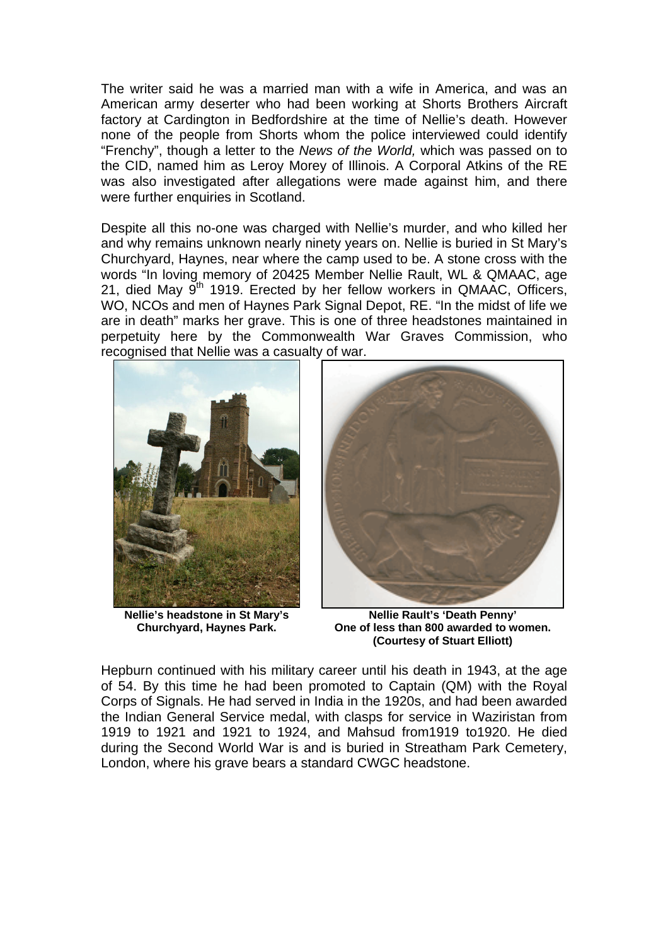The writer said he was a married man with a wife in America, and was an American army deserter who had been working at Shorts Brothers Aircraft factory at Cardington in Bedfordshire at the time of Nellie's death. However none of the people from Shorts whom the police interviewed could identify "Frenchy", though a letter to the *News of the World,* which was passed on to the CID, named him as Leroy Morey of Illinois. A Corporal Atkins of the RE was also investigated after allegations were made against him, and there were further enquiries in Scotland.

Despite all this no-one was charged with Nellie's murder, and who killed her and why remains unknown nearly ninety years on. Nellie is buried in St Mary's Churchyard, Haynes, near where the camp used to be. A stone cross with the words "In loving memory of 20425 Member Nellie Rault, WL & QMAAC, age 21, died May  $9<sup>th</sup>$  1919. Erected by her fellow workers in QMAAC, Officers, WO, NCOs and men of Haynes Park Signal Depot, RE. "In the midst of life we are in death" marks her grave. This is one of three headstones maintained in perpetuity here by the Commonwealth War Graves Commission, who recognised that Nellie was a casualty of war.



**Nellie's headstone in St Mary's Churchyard, Haynes Park.** 



**Nellie Rault's 'Death Penny' One of less than 800 awarded to women. (Courtesy of Stuart Elliott)** 

Hepburn continued with his military career until his death in 1943, at the age of 54. By this time he had been promoted to Captain (QM) with the Royal Corps of Signals. He had served in India in the 1920s, and had been awarded the Indian General Service medal, with clasps for service in Waziristan from 1919 to 1921 and 1921 to 1924, and Mahsud from1919 to1920. He died during the Second World War is and is buried in Streatham Park Cemetery, London, where his grave bears a standard CWGC headstone.